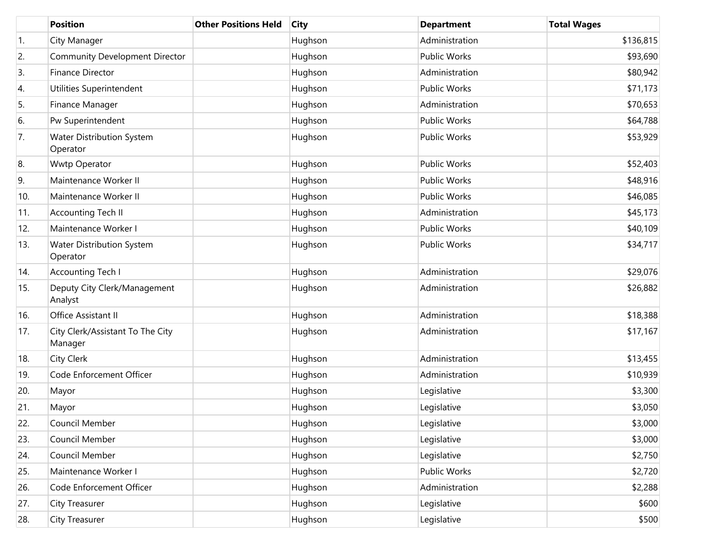|     | <b>Position</b>                             | <b>Other Positions Held</b> | <b>City</b> | <b>Department</b>   | <b>Total Wages</b> |
|-----|---------------------------------------------|-----------------------------|-------------|---------------------|--------------------|
| 1.  | City Manager                                |                             | Hughson     | Administration      | \$136,815          |
| 2.  | Community Development Director              |                             | Hughson     | <b>Public Works</b> | \$93,690           |
| 3.  | <b>Finance Director</b>                     |                             | Hughson     | Administration      | \$80,942           |
| 4.  | Utilities Superintendent                    |                             | Hughson     | <b>Public Works</b> | \$71,173           |
| 5.  | Finance Manager                             |                             | Hughson     | Administration      | \$70,653           |
| 6.  | Pw Superintendent                           |                             | Hughson     | <b>Public Works</b> | \$64,788           |
| 7.  | Water Distribution System<br>Operator       |                             | Hughson     | <b>Public Works</b> | \$53,929           |
| 8.  | Wwtp Operator                               |                             | Hughson     | <b>Public Works</b> | \$52,403           |
| 9.  | Maintenance Worker II                       |                             | Hughson     | <b>Public Works</b> | \$48,916           |
| 10. | Maintenance Worker II                       |                             | Hughson     | <b>Public Works</b> | \$46,085           |
| 11. | <b>Accounting Tech II</b>                   |                             | Hughson     | Administration      | \$45,173           |
| 12. | Maintenance Worker I                        |                             | Hughson     | <b>Public Works</b> | \$40,109           |
| 13. | Water Distribution System<br>Operator       |                             | Hughson     | <b>Public Works</b> | \$34,717           |
| 14. | <b>Accounting Tech I</b>                    |                             | Hughson     | Administration      | \$29,076           |
| 15. | Deputy City Clerk/Management<br>Analyst     |                             | Hughson     | Administration      | \$26,882           |
| 16. | Office Assistant II                         |                             | Hughson     | Administration      | \$18,388           |
| 17. | City Clerk/Assistant To The City<br>Manager |                             | Hughson     | Administration      | \$17,167           |
| 18. | City Clerk                                  |                             | Hughson     | Administration      | \$13,455           |
| 19. | Code Enforcement Officer                    |                             | Hughson     | Administration      | \$10,939           |
| 20. | Mayor                                       |                             | Hughson     | Legislative         | \$3,300            |
| 21. | Mayor                                       |                             | Hughson     | Legislative         | \$3,050            |
| 22. | Council Member                              |                             | Hughson     | Legislative         | \$3,000            |
| 23. | Council Member                              |                             | Hughson     | Legislative         | \$3,000            |
| 24. | Council Member                              |                             | Hughson     | Legislative         | \$2,750            |
| 25. | Maintenance Worker I                        |                             | Hughson     | Public Works        | \$2,720            |
| 26. | Code Enforcement Officer                    |                             | Hughson     | Administration      | \$2,288            |
| 27. | <b>City Treasurer</b>                       |                             | Hughson     | Legislative         | \$600              |
| 28. | City Treasurer                              |                             | Hughson     | Legislative         | \$500              |